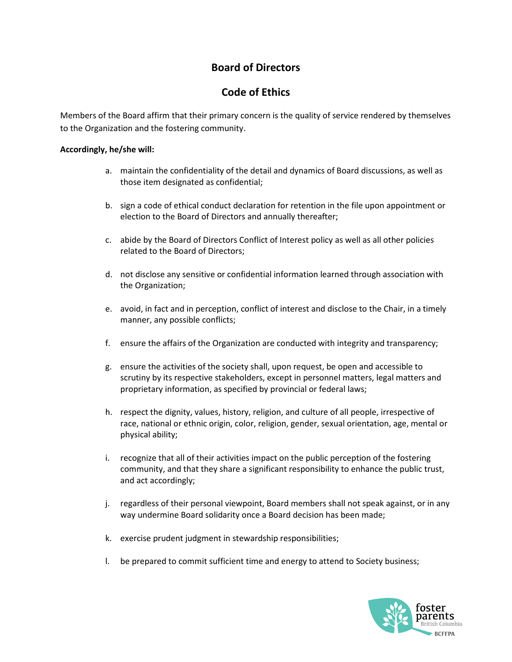## Board of Directors

## Code of Ethics

Members of the Board affirm that their primary concern is the quality of service rendered by themselves to the Organization and the fostering community.

## Accordingly, he/she will:

- a. maintain the confidentiality of the detail and dynamics of Board discussions, as well as those item designated as confidential;
- b. sign a code of ethical conduct declaration for retention in the file upon appointment or election to the Board of Directors and annually thereafter;
- c. abide by the Board of Directors Conflict of Interest policy as well as all other policies related to the Board of Directors;
- d. not disclose any sensitive or confidential information learned through association with the Organization;
- e. avoid, in fact and in perception, conflict of interest and disclose to the Chair, in a timely manner, any possible conflicts;
- f. ensure the affairs of the Organization are conducted with integrity and transparency;
- g. ensure the activities of the society shall, upon request, be open and accessible to scrutiny by its respective stakeholders, except in personnel matters, legal matters and proprietary information, as specified by provincial or federal laws;
- h. respect the dignity, values, history, religion, and culture of all people, irrespective of race, national or ethnic origin, color, religion, gender, sexual orientation, age, mental or physical ability;
- i. recognize that all of their activities impact on the public perception of the fostering community, and that they share a significant responsibility to enhance the public trust, and act accordingly;
- j. regardless of their personal viewpoint, Board members shall not speak against, or in any way undermine Board solidarity once a Board decision has been made;
- k. exercise prudent judgment in stewardship responsibilities;
- l. be prepared to commit sufficient time and energy to attend to Society business;